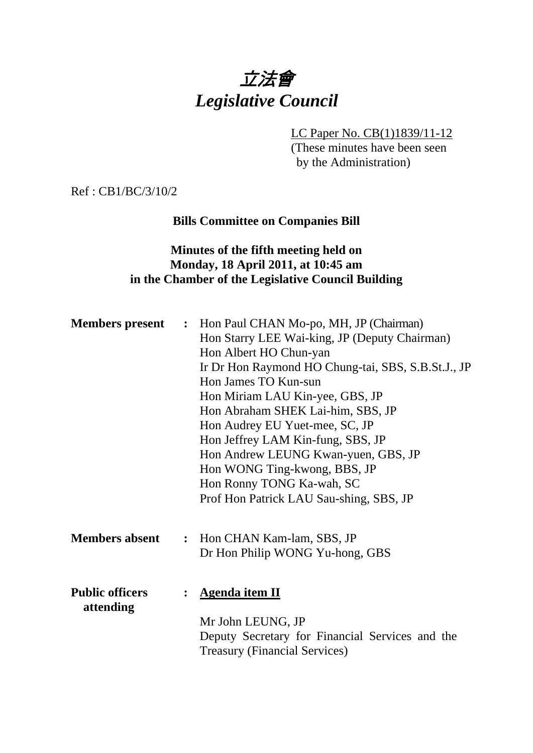# 立法會 *Legislative Council*

LC Paper No. CB(1)1839/11-12

(These minutes have been seen by the Administration)

Ref : CB1/BC/3/10/2

# **Bills Committee on Companies Bill**

## **Minutes of the fifth meeting held on Monday, 18 April 2011, at 10:45 am in the Chamber of the Legislative Council Building**

| <b>Members present :</b>            |                | Hon Paul CHAN Mo-po, MH, JP (Chairman)<br>Hon Starry LEE Wai-king, JP (Deputy Chairman)<br>Hon Albert HO Chun-yan<br>Ir Dr Hon Raymond HO Chung-tai, SBS, S.B.St.J., JP<br>Hon James TO Kun-sun<br>Hon Miriam LAU Kin-yee, GBS, JP<br>Hon Abraham SHEK Lai-him, SBS, JP<br>Hon Audrey EU Yuet-mee, SC, JP<br>Hon Jeffrey LAM Kin-fung, SBS, JP<br>Hon Andrew LEUNG Kwan-yuen, GBS, JP<br>Hon WONG Ting-kwong, BBS, JP<br>Hon Ronny TONG Ka-wah, SC<br>Prof Hon Patrick LAU Sau-shing, SBS, JP |
|-------------------------------------|----------------|-----------------------------------------------------------------------------------------------------------------------------------------------------------------------------------------------------------------------------------------------------------------------------------------------------------------------------------------------------------------------------------------------------------------------------------------------------------------------------------------------|
| <b>Members absent</b>               | $\ddot{\cdot}$ | Hon CHAN Kam-lam, SBS, JP<br>Dr Hon Philip WONG Yu-hong, GBS                                                                                                                                                                                                                                                                                                                                                                                                                                  |
| <b>Public officers</b><br>attending | $\ddot{\cdot}$ | <b>Agenda item II</b><br>Mr John LEUNG, JP<br>Deputy Secretary for Financial Services and the<br><b>Treasury (Financial Services)</b>                                                                                                                                                                                                                                                                                                                                                         |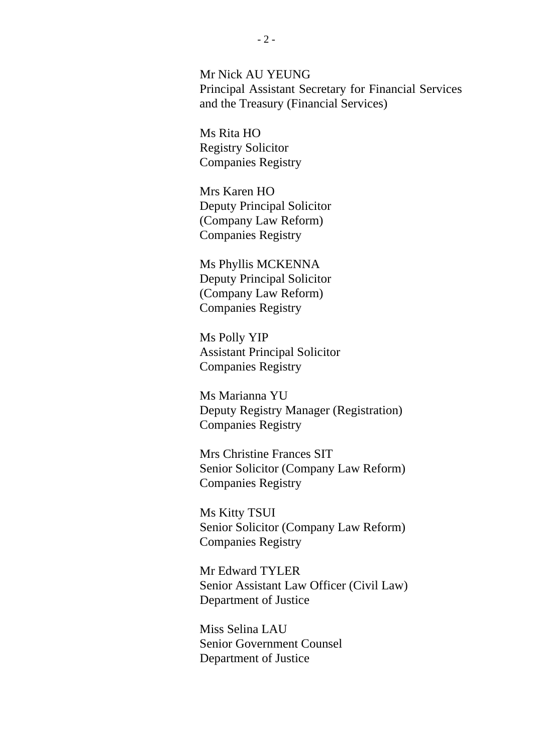Mr Nick AU YEUNG Principal Assistant Secretary for Financial Services and the Treasury (Financial Services)

Ms Rita HO Registry Solicitor Companies Registry

Mrs Karen HO Deputy Principal Solicitor (Company Law Reform) Companies Registry

Ms Phyllis MCKENNA Deputy Principal Solicitor (Company Law Reform) Companies Registry

Ms Polly YIP Assistant Principal Solicitor Companies Registry

Ms Marianna YU Deputy Registry Manager (Registration) Companies Registry

Mrs Christine Frances SIT Senior Solicitor (Company Law Reform) Companies Registry

Ms Kitty TSUI Senior Solicitor (Company Law Reform) Companies Registry

Mr Edward TYLER Senior Assistant Law Officer (Civil Law) Department of Justice

Miss Selina LAU Senior Government Counsel Department of Justice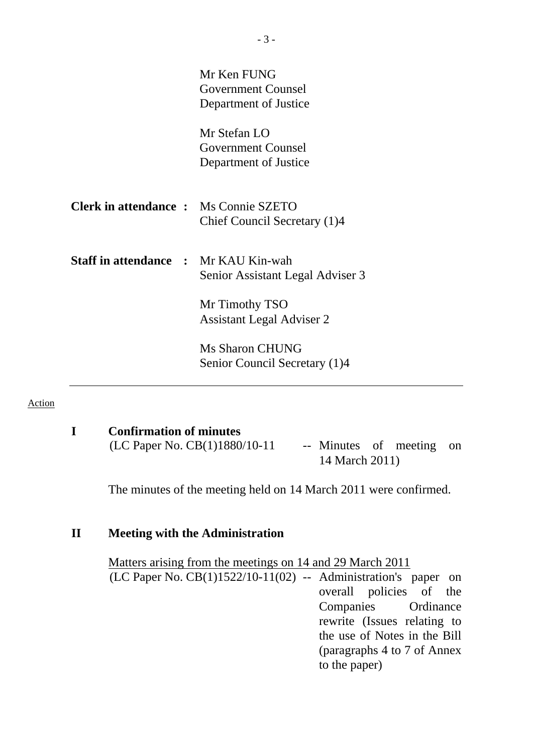|                                              | Mr Ken FUNG<br><b>Government Counsel</b><br>Department of Justice  |
|----------------------------------------------|--------------------------------------------------------------------|
|                                              | Mr Stefan LO<br><b>Government Counsel</b><br>Department of Justice |
| <b>Clerk in attendance :</b> Ms Connie SZETO | Chief Council Secretary (1)4                                       |
| <b>Staff in attendance : Mr KAU Kin-wah</b>  | Senior Assistant Legal Adviser 3                                   |
|                                              | Mr Timothy TSO<br><b>Assistant Legal Adviser 2</b>                 |
|                                              | <b>Ms Sharon CHUNG</b><br>Senior Council Secretary (1)4            |

#### Action

**I Confirmation of minutes**   $(LC$  Paper No.  $CB(1)1880/10-11$  -- Minutes of meeting on 14 March 2011)

The minutes of the meeting held on 14 March 2011 were confirmed.

#### **II Meeting with the Administration**

 Matters arising from the meetings on 14 and 29 March 2011 (LC Paper No. CB(1)1522/10-11(02) -- Administration's paper on overall policies of the Companies Ordinance rewrite (Issues relating to the use of Notes in the Bill (paragraphs 4 to 7 of Annex to the paper)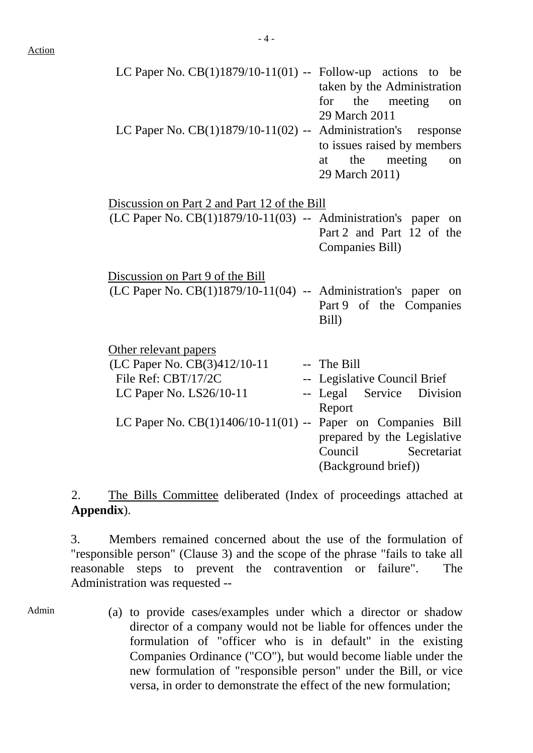| LC Paper No. $CB(1)1879/10-11(01)$ -- Follow-up actions to be   |                             |
|-----------------------------------------------------------------|-----------------------------|
|                                                                 | taken by the Administration |
|                                                                 | for the meeting on          |
|                                                                 | 29 March 2011               |
| LC Paper No. $CB(1)1879/10-11(02)$ -- Administration's response |                             |
|                                                                 | to issues raised by members |
|                                                                 | at the meeting on           |
|                                                                 | 29 March 2011)              |

| Discussion on Part 2 and Part 12 of the Bill                       |                              |
|--------------------------------------------------------------------|------------------------------|
| $(LC$ Paper No. $CB(1)1879/10-11(03)$ -- Administration's paper on |                              |
|                                                                    | Part 2 and Part 12 of the    |
|                                                                    | Companies Bill)              |
| Discussion on Part 9 of the Bill                                   |                              |
| $(LC$ Paper No. $CB(1)1879/10-11(04)$ -- Administration's paper on |                              |
|                                                                    | Part 9 of the Companies      |
|                                                                    | Bill)                        |
| Other relevant papers                                              |                              |
| (LC Paper No. CB(3)412/10-11                                       | -- The Bill                  |
| File Ref: CBT/17/2C                                                | -- Legislative Council Brief |
| LC Paper No. LS26/10-11                                            | -- Legal Service Division    |
|                                                                    | Report                       |
| LC Paper No. $CB(1)1406/10-11(01)$ -- Paper on Companies Bill      |                              |
|                                                                    | prepared by the Legislative  |
|                                                                    | Council Secretariat          |
|                                                                    | (Background brief))          |

2. The Bills Committee deliberated (Index of proceedings attached at **Appendix**).

3. Members remained concerned about the use of the formulation of "responsible person" (Clause 3) and the scope of the phrase "fails to take all reasonable steps to prevent the contravention or failure". The Administration was requested --

Admin

(a) to provide cases/examples under which a director or shadow director of a company would not be liable for offences under the formulation of "officer who is in default" in the existing Companies Ordinance ("CO"), but would become liable under the new formulation of "responsible person" under the Bill, or vice versa, in order to demonstrate the effect of the new formulation;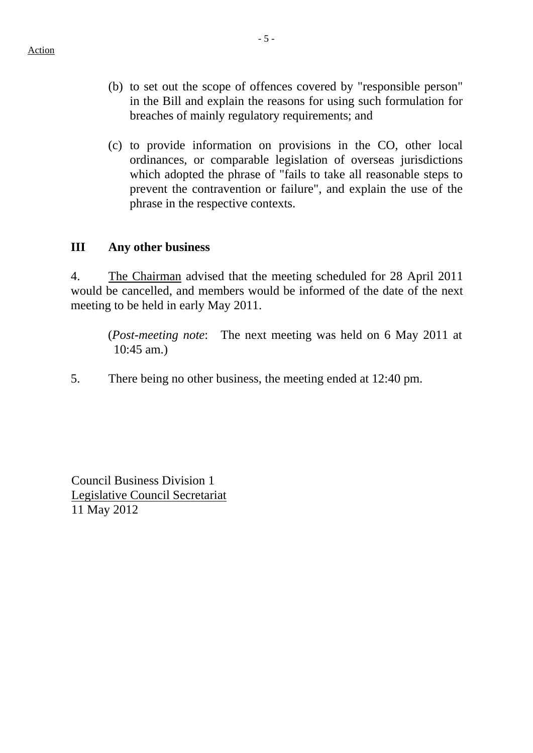- (b) to set out the scope of offences covered by "responsible person" in the Bill and explain the reasons for using such formulation for breaches of mainly regulatory requirements; and
- (c) to provide information on provisions in the CO, other local ordinances, or comparable legislation of overseas jurisdictions which adopted the phrase of "fails to take all reasonable steps to prevent the contravention or failure", and explain the use of the phrase in the respective contexts.

### **III Any other business**

4. The Chairman advised that the meeting scheduled for 28 April 2011 would be cancelled, and members would be informed of the date of the next meeting to be held in early May 2011.

(*Post-meeting note*: The next meeting was held on 6 May 2011 at 10:45 am.)

5. There being no other business, the meeting ended at 12:40 pm.

Council Business Division 1 Legislative Council Secretariat 11 May 2012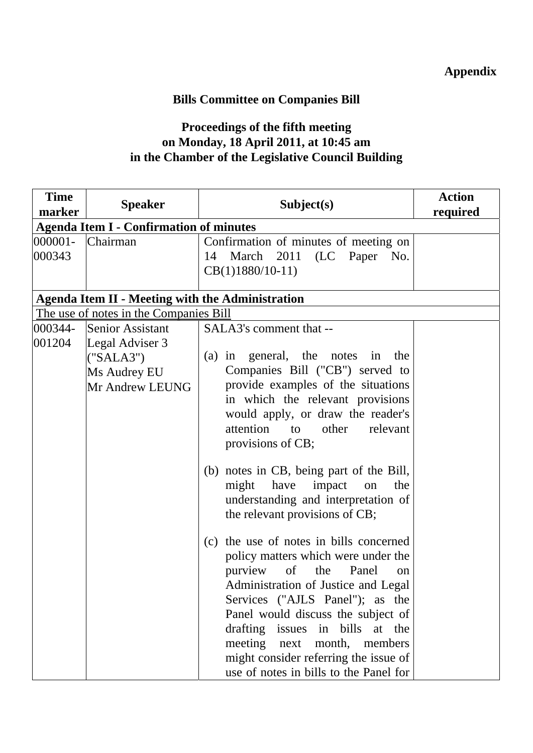# **Bills Committee on Companies Bill**

# **Proceedings of the fifth meeting on Monday, 18 April 2011, at 10:45 am in the Chamber of the Legislative Council Building**

| <b>Time</b><br>marker | <b>Speaker</b>                                                                                                                | Subject(s)                                                                                                                                                                                                                                                                                                                                                                                                                                                                                                                                                                                                                                                                                                                                                                                                                                          | <b>Action</b><br>required |  |  |
|-----------------------|-------------------------------------------------------------------------------------------------------------------------------|-----------------------------------------------------------------------------------------------------------------------------------------------------------------------------------------------------------------------------------------------------------------------------------------------------------------------------------------------------------------------------------------------------------------------------------------------------------------------------------------------------------------------------------------------------------------------------------------------------------------------------------------------------------------------------------------------------------------------------------------------------------------------------------------------------------------------------------------------------|---------------------------|--|--|
|                       | <b>Agenda Item I - Confirmation of minutes</b>                                                                                |                                                                                                                                                                                                                                                                                                                                                                                                                                                                                                                                                                                                                                                                                                                                                                                                                                                     |                           |  |  |
| $000001 -$<br>000343  | Chairman                                                                                                                      | Confirmation of minutes of meeting on<br>March 2011 (LC Paper No.<br>14<br>$CB(1)1880/10-11)$                                                                                                                                                                                                                                                                                                                                                                                                                                                                                                                                                                                                                                                                                                                                                       |                           |  |  |
|                       | <b>Agenda Item II - Meeting with the Administration</b>                                                                       |                                                                                                                                                                                                                                                                                                                                                                                                                                                                                                                                                                                                                                                                                                                                                                                                                                                     |                           |  |  |
| 000344-<br>001204     | The use of notes in the Companies Bill<br>Senior Assistant<br>Legal Adviser 3<br>("SALA3")<br>Ms Audrey EU<br>Mr Andrew LEUNG | SALA3's comment that --<br>general, the notes in<br>$(a)$ in<br>the<br>Companies Bill ("CB") served to<br>provide examples of the situations<br>in which the relevant provisions<br>would apply, or draw the reader's<br>relevant<br>attention<br>other<br>to<br>provisions of CB;<br>(b) notes in CB, being part of the Bill,<br>have<br>the<br>might<br>impact<br>on<br>understanding and interpretation of<br>the relevant provisions of CB;<br>(c) the use of notes in bills concerned<br>policy matters which were under the<br>of<br>purview<br>Panel<br>the<br>on<br>Administration of Justice and Legal<br>Services ("AJLS Panel"); as the<br>Panel would discuss the subject of<br>drafting issues in bills at the<br>meeting next<br>month,<br>members<br>might consider referring the issue of<br>use of notes in bills to the Panel for |                           |  |  |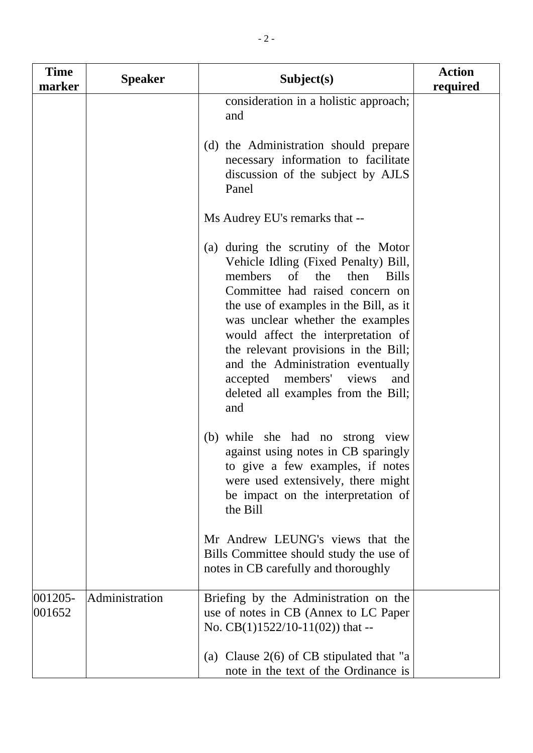| <b>Time</b><br>marker | <b>Speaker</b> | Subject(s)                                                                                                                                                                                                                                                                                                                                                                                                                                               | <b>Action</b><br>required |
|-----------------------|----------------|----------------------------------------------------------------------------------------------------------------------------------------------------------------------------------------------------------------------------------------------------------------------------------------------------------------------------------------------------------------------------------------------------------------------------------------------------------|---------------------------|
|                       |                | consideration in a holistic approach;<br>and                                                                                                                                                                                                                                                                                                                                                                                                             |                           |
|                       |                | (d) the Administration should prepare<br>necessary information to facilitate<br>discussion of the subject by AJLS<br>Panel                                                                                                                                                                                                                                                                                                                               |                           |
|                       |                | Ms Audrey EU's remarks that --                                                                                                                                                                                                                                                                                                                                                                                                                           |                           |
|                       |                | (a) during the scrutiny of the Motor<br>Vehicle Idling (Fixed Penalty) Bill,<br>$\sigma$ f<br>the<br><b>Bills</b><br>members<br>then<br>Committee had raised concern on<br>the use of examples in the Bill, as it<br>was unclear whether the examples<br>would affect the interpretation of<br>the relevant provisions in the Bill;<br>and the Administration eventually<br>accepted members' views<br>and<br>deleted all examples from the Bill;<br>and |                           |
|                       |                | (b) while she had no strong view<br>against using notes in CB sparingly<br>to give a few examples, if notes<br>were used extensively, there might<br>be impact on the interpretation of<br>the Bill                                                                                                                                                                                                                                                      |                           |
|                       |                | Mr Andrew LEUNG's views that the<br>Bills Committee should study the use of<br>notes in CB carefully and thoroughly                                                                                                                                                                                                                                                                                                                                      |                           |
| $ 001205 -$<br>001652 | Administration | Briefing by the Administration on the<br>use of notes in CB (Annex to LC Paper<br>No. $CB(1)1522/10-11(02)$ that --                                                                                                                                                                                                                                                                                                                                      |                           |
|                       |                | (a) Clause $2(6)$ of CB stipulated that "a<br>note in the text of the Ordinance is                                                                                                                                                                                                                                                                                                                                                                       |                           |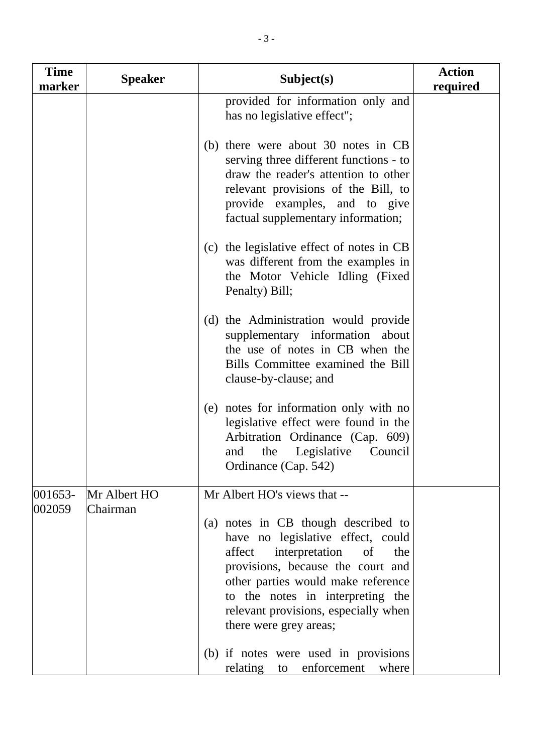| <b>Time</b><br>marker | <b>Speaker</b> | Subject(s)                                                                                                                                                                                                                                                                                         | <b>Action</b><br>required |
|-----------------------|----------------|----------------------------------------------------------------------------------------------------------------------------------------------------------------------------------------------------------------------------------------------------------------------------------------------------|---------------------------|
|                       |                | provided for information only and<br>has no legislative effect";                                                                                                                                                                                                                                   |                           |
|                       |                | (b) there were about 30 notes in CB<br>serving three different functions - to<br>draw the reader's attention to other<br>relevant provisions of the Bill, to<br>provide examples, and to give<br>factual supplementary information;                                                                |                           |
|                       |                | the legislative effect of notes in CB<br>(c)<br>was different from the examples in<br>the Motor Vehicle Idling (Fixed<br>Penalty) Bill;                                                                                                                                                            |                           |
|                       |                | (d) the Administration would provide<br>supplementary information about<br>the use of notes in CB when the<br>Bills Committee examined the Bill<br>clause-by-clause; and                                                                                                                           |                           |
|                       |                | notes for information only with no<br>(e)<br>legislative effect were found in the<br>Arbitration Ordinance (Cap. 609)<br>the Legislative<br>Council<br>and<br>Ordinance (Cap. 542)                                                                                                                 |                           |
| 001653-               | Mr Albert HO   | Mr Albert HO's views that --                                                                                                                                                                                                                                                                       |                           |
| 002059                | Chairman       | (a) notes in CB though described to<br>have no legislative effect, could<br>interpretation<br>affect<br>of<br>the<br>provisions, because the court and<br>other parties would make reference<br>to the notes in interpreting the<br>relevant provisions, especially when<br>there were grey areas; |                           |
|                       |                | (b) if notes were used in provisions<br>enforcement<br>relating<br>where<br>to                                                                                                                                                                                                                     |                           |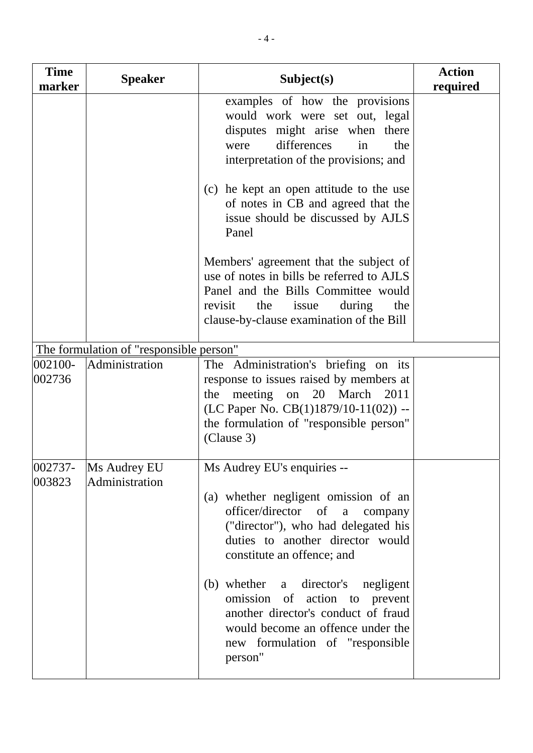| <b>Time</b><br>marker | <b>Speaker</b>                          | Subject(s)                                                                                                                                                                                                                                                                                                                                                                                                            | <b>Action</b><br>required |
|-----------------------|-----------------------------------------|-----------------------------------------------------------------------------------------------------------------------------------------------------------------------------------------------------------------------------------------------------------------------------------------------------------------------------------------------------------------------------------------------------------------------|---------------------------|
|                       |                                         | examples of how the provisions<br>would work were set out, legal<br>disputes might arise when there<br>differences<br>were<br>the<br>in<br>interpretation of the provisions; and<br>(c) he kept an open attitude to the use<br>of notes in CB and agreed that the<br>issue should be discussed by AJLS<br>Panel                                                                                                       |                           |
|                       |                                         | Members' agreement that the subject of<br>use of notes in bills be referred to AJLS<br>Panel and the Bills Committee would<br>revisit<br>the<br>issue<br>during<br>the<br>clause-by-clause examination of the Bill                                                                                                                                                                                                    |                           |
|                       | The formulation of "responsible person" |                                                                                                                                                                                                                                                                                                                                                                                                                       |                           |
| 002100-<br>002736     | Administration                          | The Administration's briefing on its<br>response to issues raised by members at<br>meeting on 20 March<br>the<br>2011<br>(LC Paper No. $CB(1)1879/10-11(02))$ --<br>the formulation of "responsible person"<br>(Clause 3)                                                                                                                                                                                             |                           |
| $ 002737-$<br>003823  | Ms Audrey EU<br>Administration          | Ms Audrey EU's enquiries --<br>(a) whether negligent omission of an<br>officer/director of a<br>company<br>("director"), who had delegated his<br>duties to another director would<br>constitute an offence; and<br>(b) whether a director's<br>negligent<br>omission of action to prevent<br>another director's conduct of fraud<br>would become an offence under the<br>new formulation of "responsible"<br>person" |                           |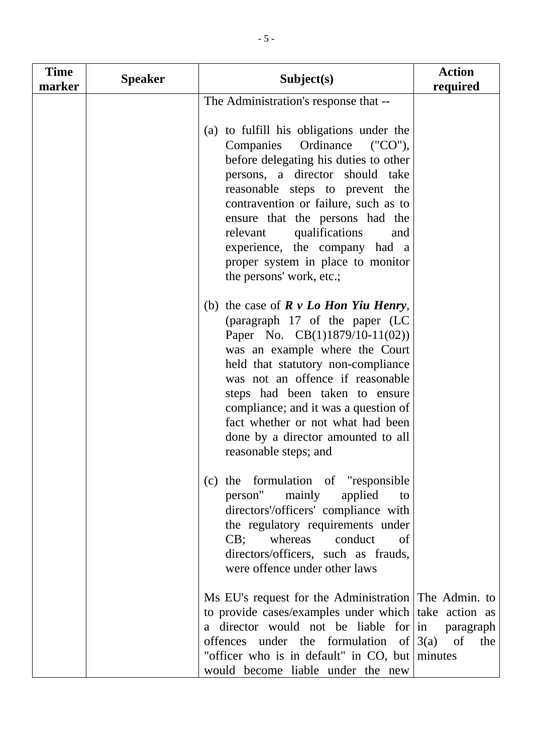| <b>Time</b><br>marker | <b>Speaker</b> | Subject(s)                                                                                                                                                                                                                                                                                                                                                                                                        | <b>Action</b><br>required |
|-----------------------|----------------|-------------------------------------------------------------------------------------------------------------------------------------------------------------------------------------------------------------------------------------------------------------------------------------------------------------------------------------------------------------------------------------------------------------------|---------------------------|
|                       |                | The Administration's response that --                                                                                                                                                                                                                                                                                                                                                                             |                           |
|                       |                | (a) to fulfill his obligations under the<br>Companies<br>Ordinance<br>$(CCOn)$ ,<br>before delegating his duties to other<br>persons, a director should take<br>reasonable steps to prevent the<br>contravention or failure, such as to<br>ensure that the persons had the<br>qualifications<br>relevant<br>and<br>experience, the company had a<br>proper system in place to monitor<br>the persons' work, etc.; |                           |
|                       |                | (b) the case of $R \nu$ <i>Lo Hon Yiu Henry</i> ,<br>(paragraph 17 of the paper (LC<br>Paper No. $CB(1)1879/10-11(02))$<br>was an example where the Court<br>held that statutory non-compliance<br>was not an offence if reasonable<br>steps had been taken to ensure<br>compliance; and it was a question of<br>fact whether or not what had been<br>done by a director amounted to all<br>reasonable steps; and |                           |
|                       |                | (c) the formulation of "responsible"<br>person" mainly<br>applied<br>to<br>directors'/officers' compliance with<br>the regulatory requirements under<br>whereas conduct<br>CB;<br>of<br>directors/officers, such as frauds,<br>were offence under other laws                                                                                                                                                      |                           |
|                       |                | Ms EU's request for the Administration The Admin. to<br>to provide cases/examples under which take action as<br>a director would not be liable for $\ln$<br>offences under the formulation of $3(a)$ of<br>"officer who is in default" in CO, but minutes<br>would become liable under the new                                                                                                                    | paragraph<br>the          |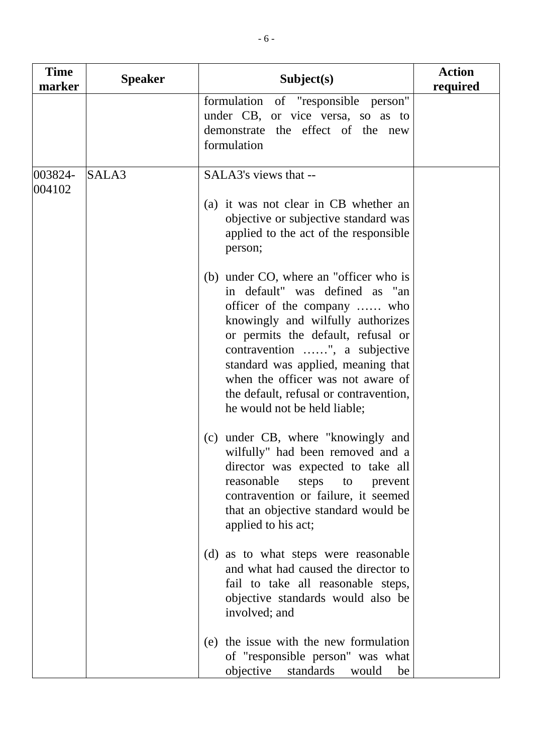| <b>Time</b><br>marker | <b>Speaker</b> | Subject(s)                                                                                                                                                                                                                                                                                                                                                               | <b>Action</b><br>required |
|-----------------------|----------------|--------------------------------------------------------------------------------------------------------------------------------------------------------------------------------------------------------------------------------------------------------------------------------------------------------------------------------------------------------------------------|---------------------------|
|                       |                | formulation of "responsible person"<br>under CB, or vice versa, so as to<br>demonstrate the effect of the new<br>formulation                                                                                                                                                                                                                                             |                           |
| 003824-<br>004102     | SALA3          | SALA3's views that --<br>(a) it was not clear in CB whether an<br>objective or subjective standard was<br>applied to the act of the responsible<br>person;                                                                                                                                                                                                               |                           |
|                       |                | (b) under CO, where an "officer who is<br>in default" was defined as "an<br>officer of the company  who<br>knowingly and wilfully authorizes<br>or permits the default, refusal or<br>contravention ", a subjective<br>standard was applied, meaning that<br>when the officer was not aware of<br>the default, refusal or contravention,<br>he would not be held liable; |                           |
|                       |                | (c) under CB, where "knowingly and<br>wilfully" had been removed and a<br>director was expected to take all<br>reasonable<br>steps<br>to<br>prevent<br>contravention or failure, it seemed<br>that an objective standard would be<br>applied to his act;                                                                                                                 |                           |
|                       |                | (d) as to what steps were reasonable<br>and what had caused the director to<br>fail to take all reasonable steps,<br>objective standards would also be<br>involved; and                                                                                                                                                                                                  |                           |
|                       |                | (e) the issue with the new formulation<br>of "responsible person" was what<br>objective<br>standards<br>would<br>be                                                                                                                                                                                                                                                      |                           |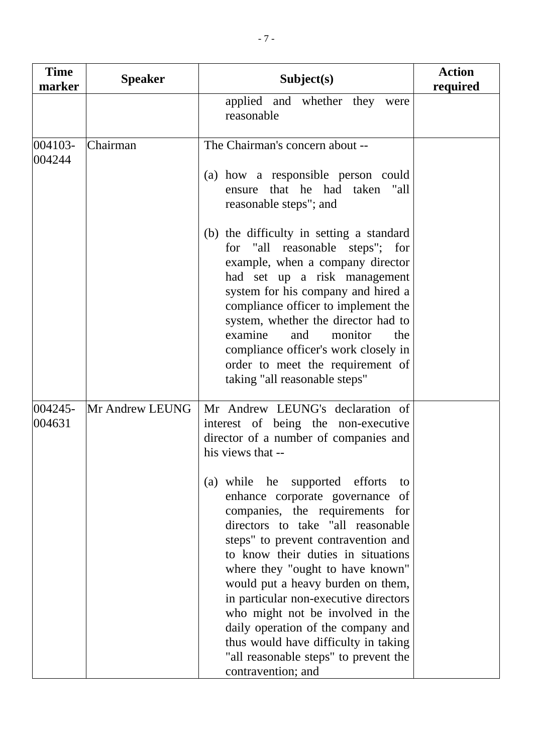| <b>Time</b><br>marker | <b>Speaker</b>  | Subject(s)                                                                                                                                                                                                                                                                                                                                                                                                                                                                                                                                                                                                                                                               | <b>Action</b><br>required |
|-----------------------|-----------------|--------------------------------------------------------------------------------------------------------------------------------------------------------------------------------------------------------------------------------------------------------------------------------------------------------------------------------------------------------------------------------------------------------------------------------------------------------------------------------------------------------------------------------------------------------------------------------------------------------------------------------------------------------------------------|---------------------------|
|                       |                 | applied and whether they were<br>reasonable                                                                                                                                                                                                                                                                                                                                                                                                                                                                                                                                                                                                                              |                           |
| 004103-<br>004244     | Chairman        | The Chairman's concern about --<br>(a) how a responsible person could<br>ensure that he had taken "all<br>reasonable steps"; and<br>(b) the difficulty in setting a standard<br>for "all reasonable steps"; for<br>example, when a company director<br>had set up a risk management<br>system for his company and hired a<br>compliance officer to implement the<br>system, whether the director had to<br>examine<br>and<br>monitor<br>the<br>compliance officer's work closely in<br>order to meet the requirement of<br>taking "all reasonable steps"                                                                                                                 |                           |
| 004245-<br>004631     | Mr Andrew LEUNG | Mr Andrew LEUNG's declaration of<br>interest of being the non-executive<br>director of a number of companies and<br>his views that --<br>(a) while he supported efforts<br>to<br>enhance corporate governance of<br>companies, the requirements for<br>directors to take "all reasonable<br>steps" to prevent contravention and<br>to know their duties in situations<br>where they "ought to have known"<br>would put a heavy burden on them,<br>in particular non-executive directors<br>who might not be involved in the<br>daily operation of the company and<br>thus would have difficulty in taking<br>"all reasonable steps" to prevent the<br>contravention; and |                           |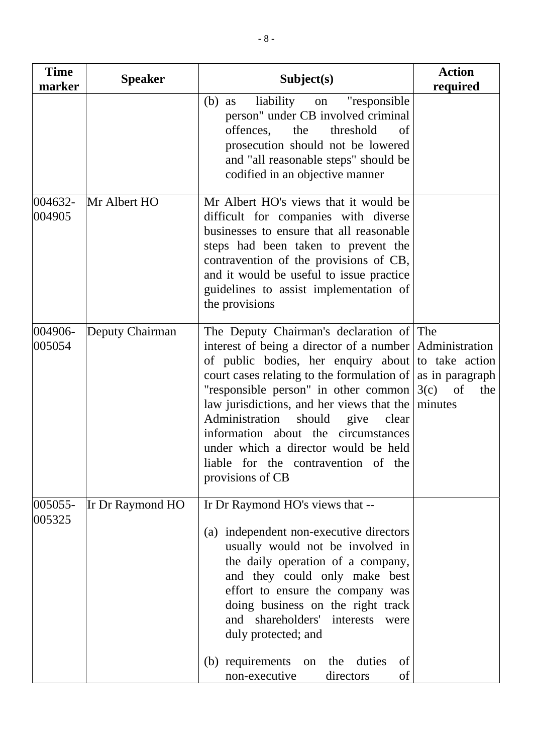| <b>Time</b><br>marker | <b>Speaker</b>          | Subject(s)                                                                                                                                                                                                                                                                                                                                                                                                                                                                                         | <b>Action</b><br>required   |
|-----------------------|-------------------------|----------------------------------------------------------------------------------------------------------------------------------------------------------------------------------------------------------------------------------------------------------------------------------------------------------------------------------------------------------------------------------------------------------------------------------------------------------------------------------------------------|-----------------------------|
|                       |                         | liability on<br>"responsible"<br>$(b)$ as<br>person" under CB involved criminal<br>offences, the<br>threshold<br>of<br>prosecution should not be lowered<br>and "all reasonable steps" should be<br>codified in an objective manner                                                                                                                                                                                                                                                                |                             |
| 004632-<br>004905     | Mr Albert HO            | Mr Albert HO's views that it would be<br>difficult for companies with diverse<br>businesses to ensure that all reasonable<br>steps had been taken to prevent the<br>contravention of the provisions of CB,<br>and it would be useful to issue practice<br>guidelines to assist implementation of<br>the provisions                                                                                                                                                                                 |                             |
| 004906-<br>005054     | Deputy Chairman         | The Deputy Chairman's declaration of The<br>interest of being a director of a number Administration<br>of public bodies, her enquiry about to take action<br>court cases relating to the formulation of $\vert$ as in paragraph<br>"responsible person" in other common<br>law jurisdictions, and her views that the<br>Administration should give clear<br>information about the circumstances<br>under which a director would be held<br>liable for the contravention of the<br>provisions of CB | $3(c)$ of<br>the<br>minutes |
| 005055-<br>005325     | <b>If Dr Raymond HO</b> | Ir Dr Raymond HO's views that --<br>independent non-executive directors<br>(a)<br>usually would not be involved in<br>the daily operation of a company,<br>and they could only make best<br>effort to ensure the company was<br>doing business on the right track<br>and shareholders'<br>interests<br>were<br>duly protected; and<br>(b) requirements<br>on the duties<br>of<br>non-executive<br>directors<br>of                                                                                  |                             |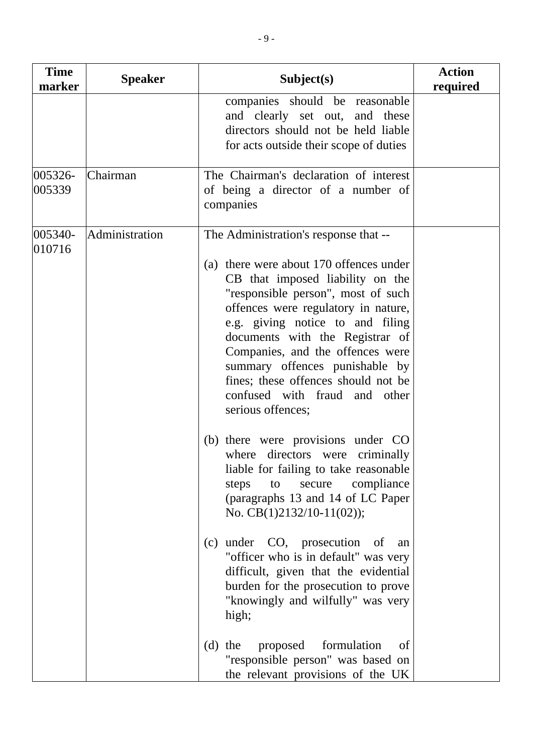| <b>Time</b><br>marker | <b>Speaker</b> | Subject(s)                                                                                                                                                                                                                                                                                                                                                                                                                                   | <b>Action</b><br>required |
|-----------------------|----------------|----------------------------------------------------------------------------------------------------------------------------------------------------------------------------------------------------------------------------------------------------------------------------------------------------------------------------------------------------------------------------------------------------------------------------------------------|---------------------------|
|                       |                | companies should be reasonable<br>and clearly set out, and these<br>directors should not be held liable<br>for acts outside their scope of duties                                                                                                                                                                                                                                                                                            |                           |
| 005326-<br>005339     | Chairman       | The Chairman's declaration of interest<br>of being a director of a number of<br>companies                                                                                                                                                                                                                                                                                                                                                    |                           |
| 005340-<br>010716     | Administration | The Administration's response that --<br>(a) there were about 170 offences under<br>CB that imposed liability on the<br>"responsible person", most of such<br>offences were regulatory in nature,<br>e.g. giving notice to and filing<br>documents with the Registrar of<br>Companies, and the offences were<br>summary offences punishable by<br>fines; these offences should not be<br>confused with fraud and other<br>serious offences;  |                           |
|                       |                | (b) there were provisions under CO<br>where directors were criminally<br>liable for failing to take reasonable<br>compliance<br>steps<br>secure<br>to<br>(paragraphs 13 and 14 of LC Paper<br>No. $CB(1)2132/10-11(02)$ ;<br>under CO, prosecution<br>(c)<br>- of<br>an<br>"officer who is in default" was very<br>difficult, given that the evidential<br>burden for the prosecution to prove<br>"knowingly and wilfully" was very<br>high; |                           |
|                       |                | formulation<br>proposed<br>(d)<br>the<br>of<br>"responsible person" was based on<br>the relevant provisions of the UK                                                                                                                                                                                                                                                                                                                        |                           |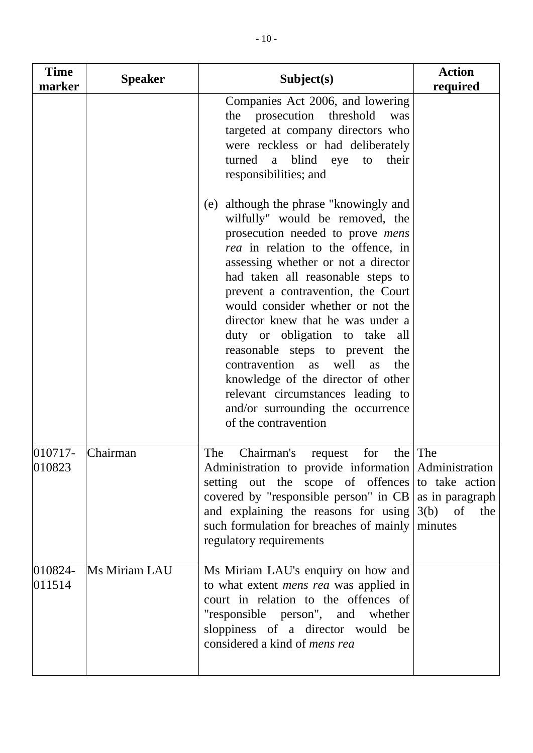| <b>Time</b><br>marker | <b>Speaker</b> | Subject(s)                                                                                                                                                                                                                                                                                                                                                                                                                                                                                                                                                                                                          | <b>Action</b><br>required                     |
|-----------------------|----------------|---------------------------------------------------------------------------------------------------------------------------------------------------------------------------------------------------------------------------------------------------------------------------------------------------------------------------------------------------------------------------------------------------------------------------------------------------------------------------------------------------------------------------------------------------------------------------------------------------------------------|-----------------------------------------------|
|                       |                | Companies Act 2006, and lowering<br>the prosecution threshold<br>was<br>targeted at company directors who<br>were reckless or had deliberately<br>turned a blind eye to<br>their<br>responsibilities; and                                                                                                                                                                                                                                                                                                                                                                                                           |                                               |
|                       |                | (e) although the phrase "knowingly and<br>wilfully" would be removed, the<br>prosecution needed to prove <i>mens</i><br><i>rea</i> in relation to the offence, in<br>assessing whether or not a director<br>had taken all reasonable steps to<br>prevent a contravention, the Court<br>would consider whether or not the<br>director knew that he was under a<br>duty or obligation to take all<br>reasonable steps to prevent<br>the<br>contravention as well<br>the<br>as<br>knowledge of the director of other<br>relevant circumstances leading to<br>and/or surrounding the occurrence<br>of the contravention |                                               |
| 010717-<br>010823     | Chairman       | Chairman's<br>for<br>The<br>request<br>Administration to provide information Administration<br>setting out the scope of offences to take action<br>covered by "responsible person" in $CB$ as in paragraph<br>and explaining the reasons for using<br>such formulation for breaches of mainly<br>regulatory requirements                                                                                                                                                                                                                                                                                            | the The<br>3(b)<br>$\sigma$<br>the<br>minutes |
| 010824-<br>011514     | Ms Miriam LAU  | Ms Miriam LAU's enquiry on how and<br>to what extent <i>mens rea</i> was applied in<br>court in relation to the offences of<br>"responsible person", and whether<br>sloppiness of a director would be<br>considered a kind of <i>mens rea</i>                                                                                                                                                                                                                                                                                                                                                                       |                                               |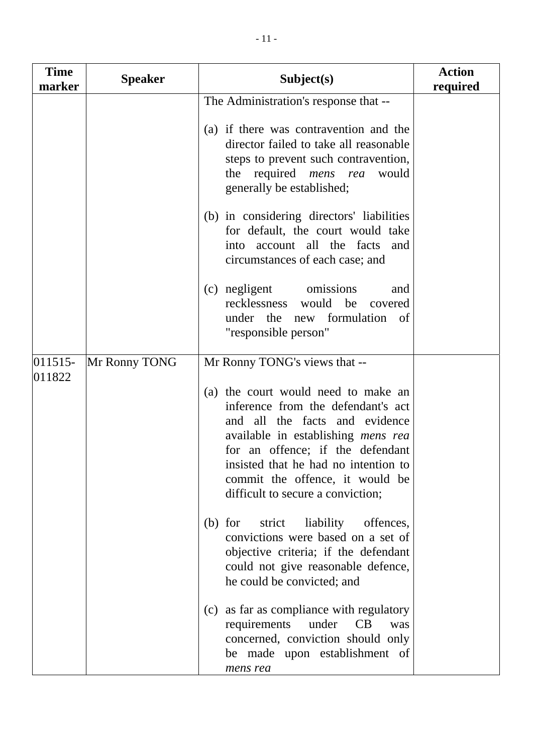| <b>Time</b><br>marker | <b>Speaker</b> | Subject(s)                                                                                                                                                                                                                                                                                                   | <b>Action</b><br>required |
|-----------------------|----------------|--------------------------------------------------------------------------------------------------------------------------------------------------------------------------------------------------------------------------------------------------------------------------------------------------------------|---------------------------|
|                       |                | The Administration's response that --                                                                                                                                                                                                                                                                        |                           |
|                       |                | (a) if there was contravention and the<br>director failed to take all reasonable<br>steps to prevent such contravention,<br>the required <i>mens</i> rea<br>would<br>generally be established;                                                                                                               |                           |
|                       |                | (b) in considering directors' liabilities<br>for default, the court would take<br>into account all the facts<br>and<br>circumstances of each case; and                                                                                                                                                       |                           |
|                       |                | (c) negligent<br>omissions<br>and<br>recklessness would be covered<br>under the new formulation of<br>"responsible person"                                                                                                                                                                                   |                           |
| $ 011515-$            | Mr Ronny TONG  | Mr Ronny TONG's views that --                                                                                                                                                                                                                                                                                |                           |
| 011822                |                | (a) the court would need to make an<br>inference from the defendant's act<br>and all the facts and evidence<br>available in establishing <i>mens rea</i><br>for an offence; if the defendant<br>insisted that he had no intention to<br>commit the offence, it would be<br>difficult to secure a conviction; |                           |
|                       |                | liability<br>$(b)$ for<br>strict<br>offences,<br>convictions were based on a set of<br>objective criteria; if the defendant<br>could not give reasonable defence,<br>he could be convicted; and                                                                                                              |                           |
|                       |                | as far as compliance with regulatory<br>(c)<br>requirements<br>under<br>CB<br>was<br>concerned, conviction should only<br>be made upon establishment of<br>mens rea                                                                                                                                          |                           |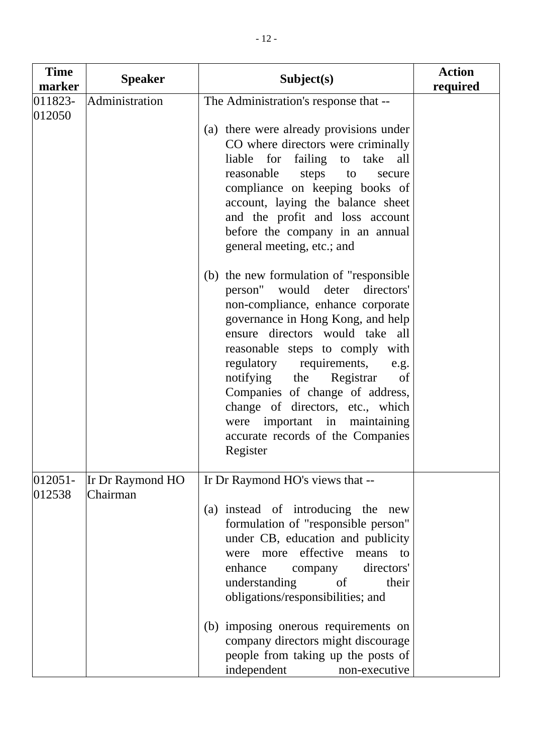| <b>Time</b><br>marker | <b>Speaker</b>               | Subject(s)                                                                                                                                                                                                                                                                                                                                                                                                                                                        | <b>Action</b><br>required |
|-----------------------|------------------------------|-------------------------------------------------------------------------------------------------------------------------------------------------------------------------------------------------------------------------------------------------------------------------------------------------------------------------------------------------------------------------------------------------------------------------------------------------------------------|---------------------------|
| 011823-               | Administration               | The Administration's response that --                                                                                                                                                                                                                                                                                                                                                                                                                             |                           |
| 012050                |                              | (a) there were already provisions under<br>CO where directors were criminally<br>liable for failing to take all<br>reasonable<br>steps to<br>secure<br>compliance on keeping books of<br>account, laying the balance sheet<br>and the profit and loss account<br>before the company in an annual<br>general meeting, etc.; and                                                                                                                                    |                           |
|                       |                              | (b) the new formulation of "responsible"<br>directors'<br>person"<br>would deter<br>non-compliance, enhance corporate<br>governance in Hong Kong, and help<br>ensure directors would take all<br>reasonable steps to comply with<br>regulatory requirements,<br>e.g.<br>notifying the<br>Registrar<br>of<br>Companies of change of address,<br>change of directors, etc., which<br>were important in maintaining<br>accurate records of the Companies<br>Register |                           |
| 012051-<br>012538     | Ir Dr Raymond HO<br>Chairman | Ir Dr Raymond HO's views that --<br>(a) instead of introducing the new<br>formulation of "responsible person"<br>under CB, education and publicity<br>effective<br>more<br>means<br>were<br>to<br>directors'<br>enhance<br>company<br>understanding<br>of<br>their<br>obligations/responsibilities; and                                                                                                                                                           |                           |
|                       |                              | (b) imposing onerous requirements on<br>company directors might discourage<br>people from taking up the posts of<br>independent<br>non-executive                                                                                                                                                                                                                                                                                                                  |                           |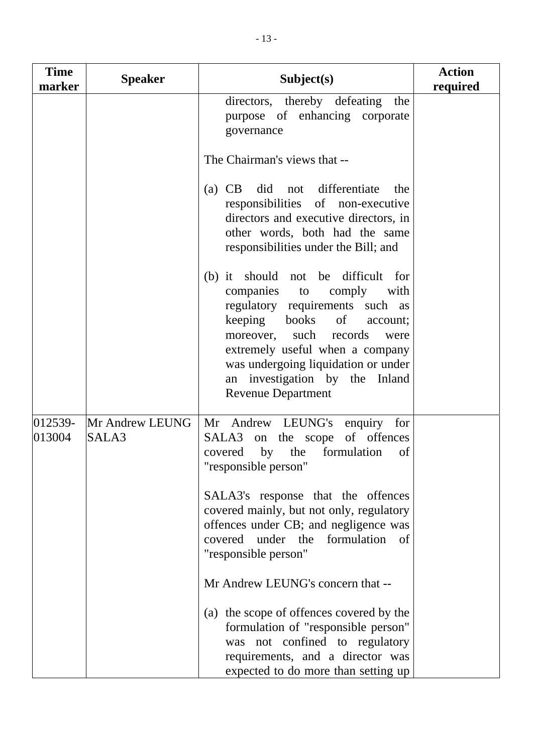| <b>Time</b><br>marker | <b>Speaker</b>           | Subject(s)                                                                                                                                                                                                                                                                                                               | <b>Action</b><br>required |
|-----------------------|--------------------------|--------------------------------------------------------------------------------------------------------------------------------------------------------------------------------------------------------------------------------------------------------------------------------------------------------------------------|---------------------------|
|                       |                          | directors, thereby defeating<br>the<br>purpose of enhancing corporate<br>governance                                                                                                                                                                                                                                      |                           |
|                       |                          | The Chairman's views that --                                                                                                                                                                                                                                                                                             |                           |
|                       |                          | did not differentiate<br>$(a)$ CB<br>the<br>responsibilities of non-executive<br>directors and executive directors, in<br>other words, both had the same<br>responsibilities under the Bill; and                                                                                                                         |                           |
|                       |                          | (b) it should not be difficult for<br>companies<br>comply<br>with<br>to<br>regulatory requirements such as<br>keeping<br>books of<br>account;<br>moreover, such records<br>were<br>extremely useful when a company<br>was undergoing liquidation or under<br>an investigation by the Inland<br><b>Revenue Department</b> |                           |
| 012539-<br>013004     | Mr Andrew LEUNG<br>SALA3 | Mr Andrew LEUNG's enquiry for<br>SALA3 on the scope of offences<br>covered by the formulation<br>of<br>'responsible person"                                                                                                                                                                                              |                           |
|                       |                          | SALA3's response that the offences<br>covered mainly, but not only, regulatory<br>offences under CB; and negligence was<br>covered under the formulation<br>- of<br>"responsible person"                                                                                                                                 |                           |
|                       |                          | Mr Andrew LEUNG's concern that --                                                                                                                                                                                                                                                                                        |                           |
|                       |                          | (a) the scope of offences covered by the<br>formulation of "responsible person"<br>was not confined to regulatory<br>requirements, and a director was<br>expected to do more than setting up                                                                                                                             |                           |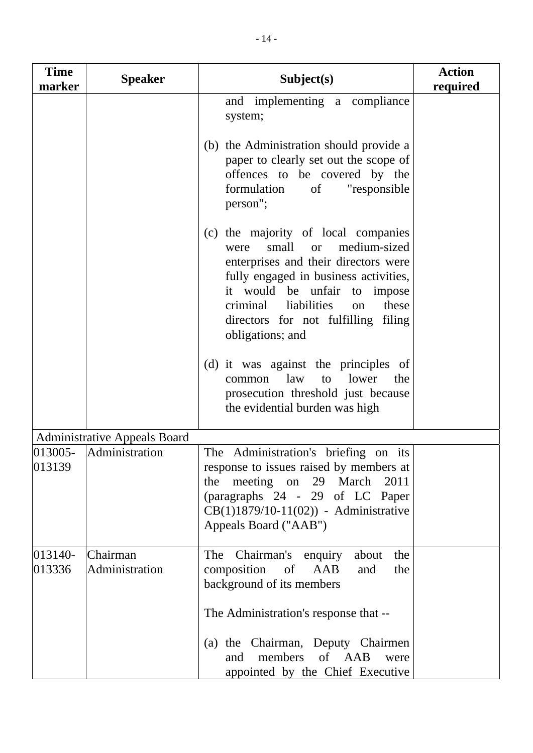| <b>Time</b><br>marker | <b>Speaker</b>                      | Subject(s)                                                                                                                                                                                                                                                                                                    | <b>Action</b><br>required |
|-----------------------|-------------------------------------|---------------------------------------------------------------------------------------------------------------------------------------------------------------------------------------------------------------------------------------------------------------------------------------------------------------|---------------------------|
|                       |                                     | and implementing a compliance<br>system;                                                                                                                                                                                                                                                                      |                           |
|                       |                                     | (b) the Administration should provide a<br>paper to clearly set out the scope of<br>offences to be covered by the<br>formulation<br>"responsible<br>of<br>person";                                                                                                                                            |                           |
|                       |                                     | (c) the majority of local companies<br>medium-sized<br>small<br><b>or</b><br>were<br>enterprises and their directors were<br>fully engaged in business activities,<br>it would be unfair<br>to<br>impose<br>liabilities<br>these<br>criminal<br>on<br>directors for not fulfilling filing<br>obligations; and |                           |
|                       |                                     | (d) it was against the principles of<br>common law<br>lower<br>the<br>to<br>prosecution threshold just because<br>the evidential burden was high                                                                                                                                                              |                           |
|                       | <b>Administrative Appeals Board</b> |                                                                                                                                                                                                                                                                                                               |                           |
| 013005-<br>013139     | Administration                      | The Administration's briefing on its<br>response to issues raised by members at<br>the meeting on 29 March<br>2011<br>(paragraphs 24 - 29 of LC Paper<br>CB(1)1879/10-11(02)) - Administrative<br>Appeals Board ("AAB")                                                                                       |                           |
| 013140-<br>013336     | Chairman<br>Administration          | The<br>Chairman's enquiry<br>the<br>about<br>AAB<br>composition<br>of<br>and<br>the<br>background of its members<br>The Administration's response that --<br>(a) the Chairman, Deputy Chairmen                                                                                                                |                           |
|                       |                                     | members<br>of AAB<br>and<br>were<br>appointed by the Chief Executive                                                                                                                                                                                                                                          |                           |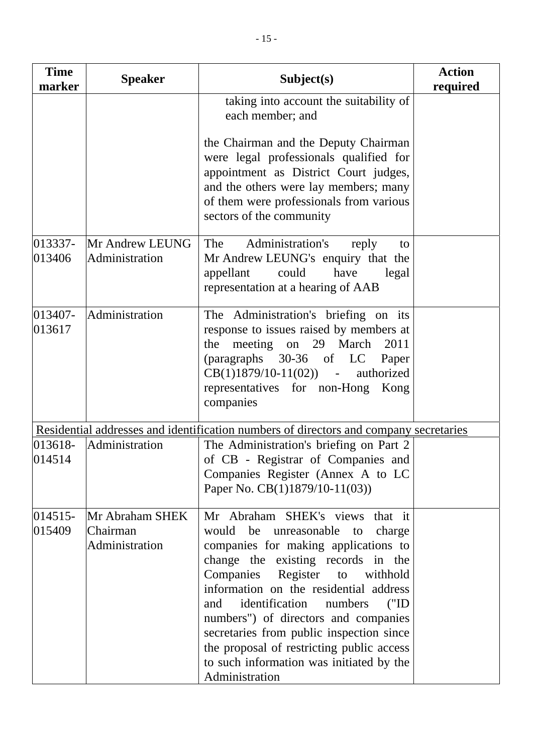| <b>Time</b><br>marker | <b>Speaker</b>                                | Subject(s)                                                                                                                                                                                                                                                                                                                                                                                                                                                                                           | <b>Action</b><br>required |
|-----------------------|-----------------------------------------------|------------------------------------------------------------------------------------------------------------------------------------------------------------------------------------------------------------------------------------------------------------------------------------------------------------------------------------------------------------------------------------------------------------------------------------------------------------------------------------------------------|---------------------------|
|                       |                                               | taking into account the suitability of<br>each member; and                                                                                                                                                                                                                                                                                                                                                                                                                                           |                           |
|                       |                                               | the Chairman and the Deputy Chairman<br>were legal professionals qualified for<br>appointment as District Court judges,<br>and the others were lay members; many<br>of them were professionals from various<br>sectors of the community                                                                                                                                                                                                                                                              |                           |
| 013337-<br>013406     | Mr Andrew LEUNG<br>Administration             | Administration's<br>The<br>reply<br>to<br>Mr Andrew LEUNG's enquiry that the<br>could<br>have<br>appellant<br>legal<br>representation at a hearing of AAB                                                                                                                                                                                                                                                                                                                                            |                           |
| 013407-<br>013617     | Administration                                | The Administration's briefing on its<br>response to issues raised by members at<br>meeting on 29 March<br>2011<br>the<br>(paragraphs 30-36 of LC<br>Paper<br>$CB(1)1879/10-11(02))$ - authorized<br>representatives for non-Hong Kong<br>companies                                                                                                                                                                                                                                                   |                           |
|                       |                                               | Residential addresses and identification numbers of directors and company secretaries                                                                                                                                                                                                                                                                                                                                                                                                                |                           |
| 013618-<br>014514     | Administration                                | The Administration's briefing on Part 2<br>of CB - Registrar of Companies and<br>Companies Register (Annex A to LC<br>Paper No. CB(1)1879/10-11(03))                                                                                                                                                                                                                                                                                                                                                 |                           |
| 014515-<br>015409     | Mr Abraham SHEK<br>Chairman<br>Administration | Mr Abraham SHEK's views<br>that it<br>would be<br>unreasonable<br>charge<br>to<br>companies for making applications to<br>change the existing records in the<br>Companies Register to<br>withhold<br>information on the residential address<br>identification<br>numbers<br>(T <sub>II</sub> )<br>and<br>numbers") of directors and companies<br>secretaries from public inspection since<br>the proposal of restricting public access<br>to such information was initiated by the<br>Administration |                           |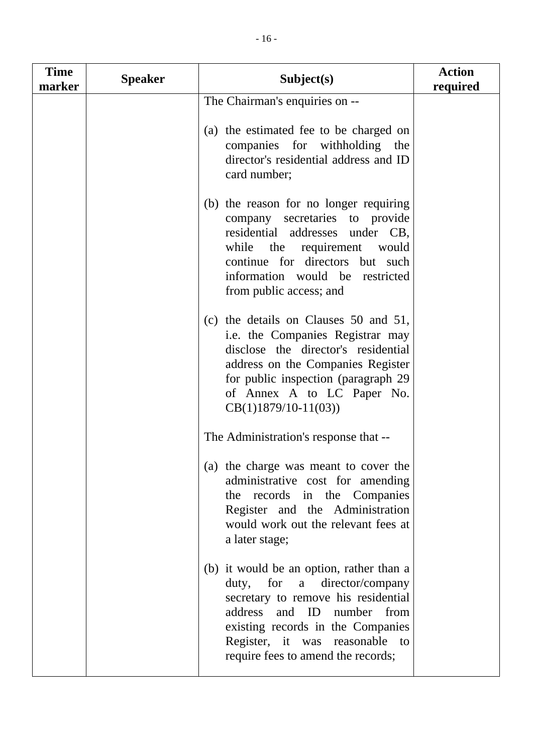| <b>Time</b><br>marker | <b>Speaker</b> | Subject(s)                                                                                                                                                                                                                                                 | <b>Action</b><br>required |
|-----------------------|----------------|------------------------------------------------------------------------------------------------------------------------------------------------------------------------------------------------------------------------------------------------------------|---------------------------|
|                       |                | The Chairman's enquiries on --                                                                                                                                                                                                                             |                           |
|                       |                | (a) the estimated fee to be charged on<br>companies for withholding<br>the<br>director's residential address and ID<br>card number;                                                                                                                        |                           |
|                       |                | (b) the reason for no longer requiring<br>company secretaries to provide<br>residential addresses under CB,<br>while<br>the requirement<br>would<br>continue for directors but such<br>information would be restricted<br>from public access; and          |                           |
|                       |                | (c) the details on Clauses 50 and 51,<br>i.e. the Companies Registrar may<br>disclose the director's residential<br>address on the Companies Register<br>for public inspection (paragraph 29)<br>of Annex A to LC Paper No.<br>$CB(1)1879/10-11(03))$      |                           |
|                       |                | The Administration's response that --                                                                                                                                                                                                                      |                           |
|                       |                | (a) the charge was meant to cover the<br>administrative cost for amending<br>the records in the Companies<br>Register and the Administration<br>would work out the relevant fees at<br>a later stage;                                                      |                           |
|                       |                | (b) it would be an option, rather than a<br>duty, for a director/company<br>secretary to remove his residential<br>address and ID number from<br>existing records in the Companies<br>Register, it was reasonable to<br>require fees to amend the records; |                           |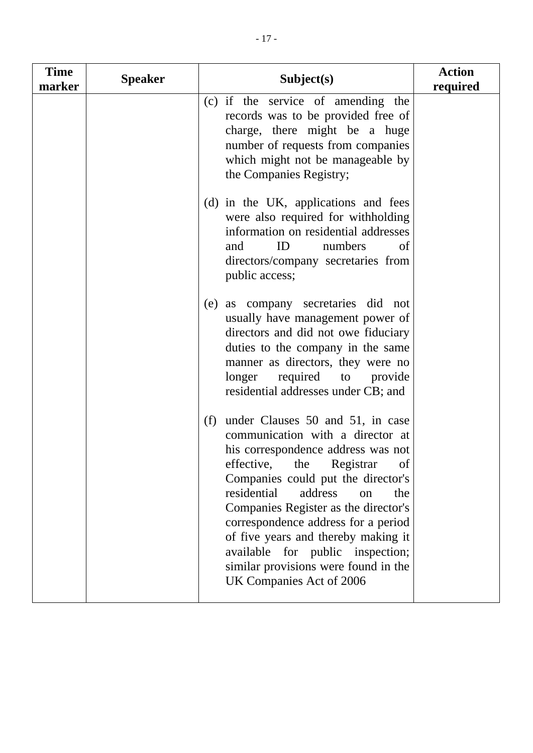| <b>Time</b><br>marker | <b>Speaker</b> | Subject(s)                                                                                                                                                                                                                                                                                                                                                                                                                                                     | <b>Action</b><br>required |
|-----------------------|----------------|----------------------------------------------------------------------------------------------------------------------------------------------------------------------------------------------------------------------------------------------------------------------------------------------------------------------------------------------------------------------------------------------------------------------------------------------------------------|---------------------------|
|                       |                | (c) if the service of amending the<br>records was to be provided free of<br>charge, there might be a huge<br>number of requests from companies<br>which might not be manageable by<br>the Companies Registry;                                                                                                                                                                                                                                                  |                           |
|                       |                | (d) in the UK, applications and fees<br>were also required for withholding<br>information on residential addresses<br>ID<br>numbers<br>and<br>of<br>directors/company secretaries from<br>public access;                                                                                                                                                                                                                                                       |                           |
|                       |                | as company secretaries did not<br>(e)<br>usually have management power of<br>directors and did not owe fiduciary<br>duties to the company in the same<br>manner as directors, they were no<br>longer<br>required to provide<br>residential addresses under CB; and                                                                                                                                                                                             |                           |
|                       |                | under Clauses 50 and 51, in case<br>(f)<br>communication with a director at<br>his correspondence address was not<br>effective, the Registrar of<br>Companies could put the director's<br>residential<br>address<br>the<br>on<br>Companies Register as the director's<br>correspondence address for a period<br>of five years and thereby making it<br>available for public<br>inspection;<br>similar provisions were found in the<br>UK Companies Act of 2006 |                           |